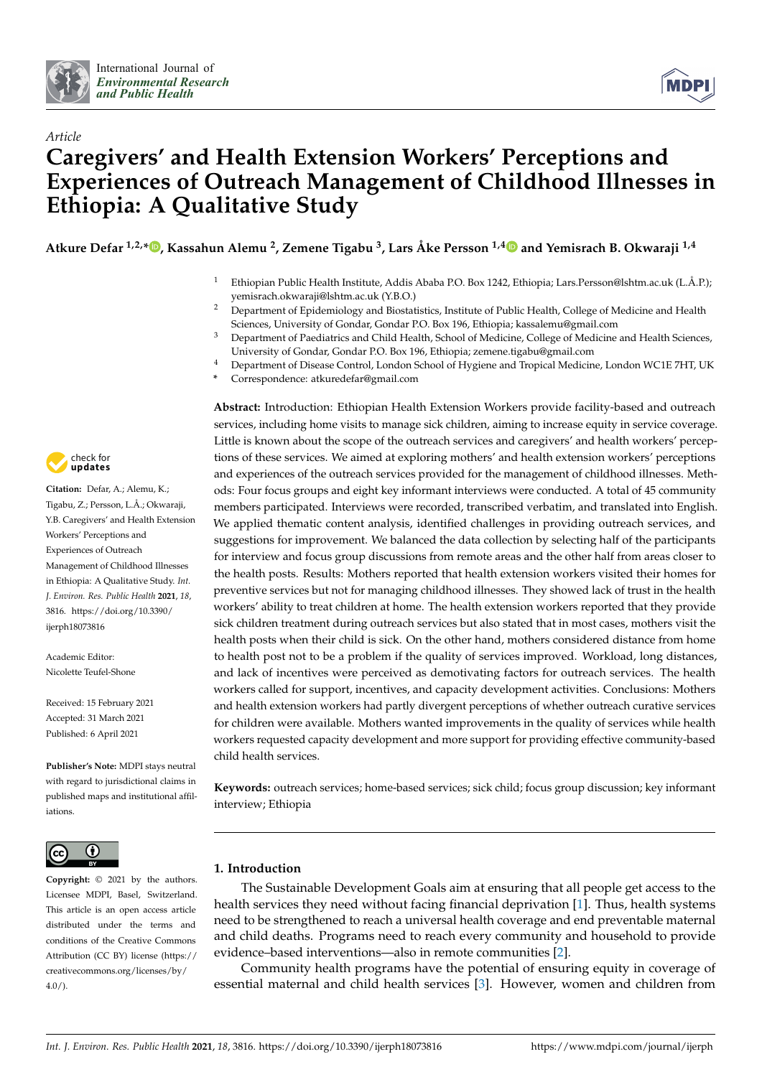

*Article*



# **Caregivers' and Health Extension Workers' Perceptions and Experiences of Outreach Management of Childhood Illnesses in Ethiopia: A Qualitative Study**

**Atkure Defar 1,2,[\\*](https://orcid.org/0000-0001-9435-2135) , Kassahun Alemu <sup>2</sup> , Zemene Tigabu <sup>3</sup> , Lars Åke Persson 1,[4](https://orcid.org/0000-0003-0710-7954) and Yemisrach B. Okwaraji 1,4**

- <sup>1</sup> Ethiopian Public Health Institute, Addis Ababa P.O. Box 1242, Ethiopia; Lars.Persson@lshtm.ac.uk (L.Å.P.); yemisrach.okwaraji@lshtm.ac.uk (Y.B.O.)
- <sup>2</sup> Department of Epidemiology and Biostatistics, Institute of Public Health, College of Medicine and Health Sciences, University of Gondar, Gondar P.O. Box 196, Ethiopia; kassalemu@gmail.com
- <sup>3</sup> Department of Paediatrics and Child Health, School of Medicine, College of Medicine and Health Sciences, University of Gondar, Gondar P.O. Box 196, Ethiopia; zemene.tigabu@gmail.com
- <sup>4</sup> Department of Disease Control, London School of Hygiene and Tropical Medicine, London WC1E 7HT, UK
- **\*** Correspondence: atkuredefar@gmail.com

**Abstract:** Introduction: Ethiopian Health Extension Workers provide facility-based and outreach services, including home visits to manage sick children, aiming to increase equity in service coverage. Little is known about the scope of the outreach services and caregivers' and health workers' perceptions of these services. We aimed at exploring mothers' and health extension workers' perceptions and experiences of the outreach services provided for the management of childhood illnesses. Methods: Four focus groups and eight key informant interviews were conducted. A total of 45 community members participated. Interviews were recorded, transcribed verbatim, and translated into English. We applied thematic content analysis, identified challenges in providing outreach services, and suggestions for improvement. We balanced the data collection by selecting half of the participants for interview and focus group discussions from remote areas and the other half from areas closer to the health posts. Results: Mothers reported that health extension workers visited their homes for preventive services but not for managing childhood illnesses. They showed lack of trust in the health workers' ability to treat children at home. The health extension workers reported that they provide sick children treatment during outreach services but also stated that in most cases, mothers visit the health posts when their child is sick. On the other hand, mothers considered distance from home to health post not to be a problem if the quality of services improved. Workload, long distances, and lack of incentives were perceived as demotivating factors for outreach services. The health workers called for support, incentives, and capacity development activities. Conclusions: Mothers and health extension workers had partly divergent perceptions of whether outreach curative services for children were available. Mothers wanted improvements in the quality of services while health workers requested capacity development and more support for providing effective community-based child health services.

**Keywords:** outreach services; home-based services; sick child; focus group discussion; key informant interview; Ethiopia

# **1. Introduction**

The Sustainable Development Goals aim at ensuring that all people get access to the health services they need without facing financial deprivation [\[1\]](#page-8-0). Thus, health systems need to be strengthened to reach a universal health coverage and end preventable maternal and child deaths. Programs need to reach every community and household to provide evidence–based interventions—also in remote communities [\[2\]](#page-8-1).

Community health programs have the potential of ensuring equity in coverage of essential maternal and child health services [\[3\]](#page-8-2). However, women and children from



**Citation:** Defar, A.; Alemu, K.; Tigabu, Z.; Persson, L.Å.; Okwaraji, Y.B. Caregivers' and Health Extension Workers' Perceptions and Experiences of Outreach Management of Childhood Illnesses in Ethiopia: A Qualitative Study. *Int. J. Environ. Res. Public Health* **2021**, *18*, 3816. [https://doi.org/10.3390/](https://doi.org/10.3390/ijerph18073816) [ijerph18073816](https://doi.org/10.3390/ijerph18073816)

Academic Editor: Nicolette Teufel-Shone

Received: 15 February 2021 Accepted: 31 March 2021 Published: 6 April 2021

**Publisher's Note:** MDPI stays neutral with regard to jurisdictional claims in published maps and institutional affiliations.



**Copyright:** © 2021 by the authors. Licensee MDPI, Basel, Switzerland. This article is an open access article distributed under the terms and conditions of the Creative Commons Attribution (CC BY) license (https:/[/](https://creativecommons.org/licenses/by/4.0/) [creativecommons.org/licenses/by/](https://creativecommons.org/licenses/by/4.0/)  $4.0/$ ).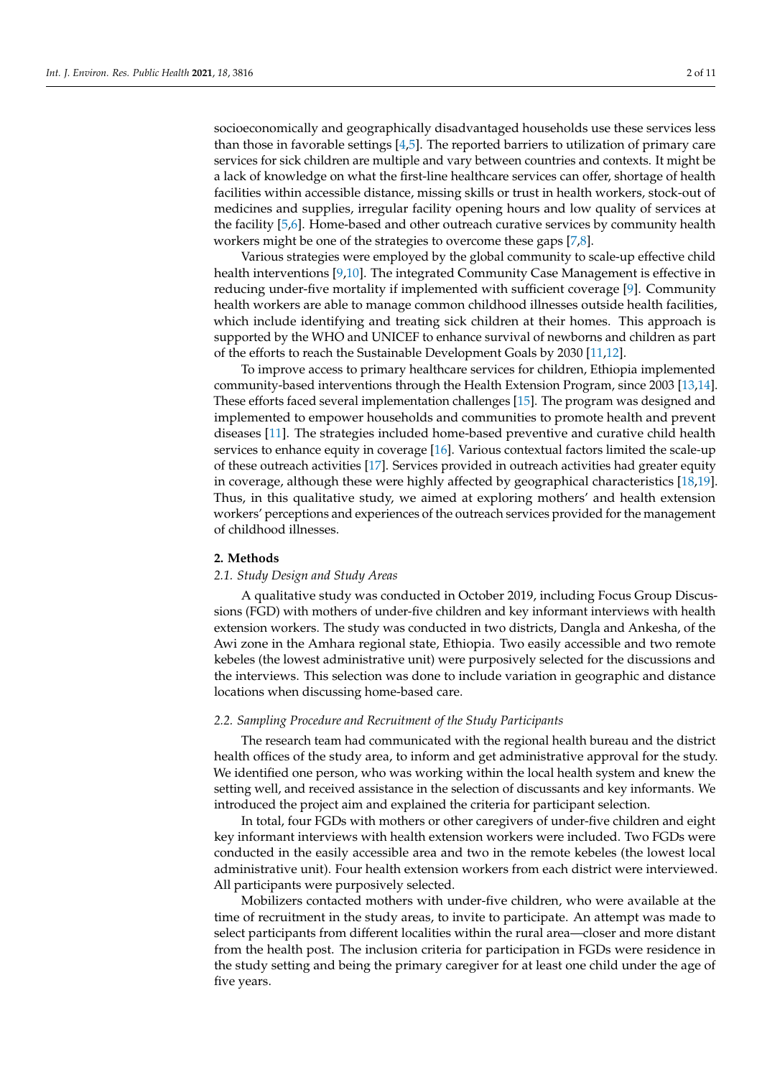socioeconomically and geographically disadvantaged households use these services less than those in favorable settings [\[4,](#page-8-3)[5\]](#page-8-4). The reported barriers to utilization of primary care services for sick children are multiple and vary between countries and contexts. It might be a lack of knowledge on what the first-line healthcare services can offer, shortage of health facilities within accessible distance, missing skills or trust in health workers, stock-out of medicines and supplies, irregular facility opening hours and low quality of services at the facility [\[5,](#page-8-4)[6\]](#page-8-5). Home-based and other outreach curative services by community health workers might be one of the strategies to overcome these gaps [\[7](#page-8-6)[,8\]](#page-8-7).

Various strategies were employed by the global community to scale-up effective child health interventions [\[9,](#page-9-0)[10\]](#page-9-1). The integrated Community Case Management is effective in reducing under-five mortality if implemented with sufficient coverage [\[9\]](#page-9-0). Community health workers are able to manage common childhood illnesses outside health facilities, which include identifying and treating sick children at their homes. This approach is supported by the WHO and UNICEF to enhance survival of newborns and children as part of the efforts to reach the Sustainable Development Goals by 2030 [\[11](#page-9-2)[,12\]](#page-9-3).

To improve access to primary healthcare services for children, Ethiopia implemented community-based interventions through the Health Extension Program, since 2003 [\[13](#page-9-4)[,14\]](#page-9-5). These efforts faced several implementation challenges [\[15\]](#page-9-6). The program was designed and implemented to empower households and communities to promote health and prevent diseases [\[11\]](#page-9-2). The strategies included home-based preventive and curative child health services to enhance equity in coverage [\[16\]](#page-9-7). Various contextual factors limited the scale-up of these outreach activities [\[17\]](#page-9-8). Services provided in outreach activities had greater equity in coverage, although these were highly affected by geographical characteristics [\[18,](#page-9-9)[19\]](#page-9-10). Thus, in this qualitative study, we aimed at exploring mothers' and health extension workers' perceptions and experiences of the outreach services provided for the management of childhood illnesses.

## **2. Methods**

#### *2.1. Study Design and Study Areas*

A qualitative study was conducted in October 2019, including Focus Group Discussions (FGD) with mothers of under-five children and key informant interviews with health extension workers. The study was conducted in two districts, Dangla and Ankesha, of the Awi zone in the Amhara regional state, Ethiopia. Two easily accessible and two remote kebeles (the lowest administrative unit) were purposively selected for the discussions and the interviews. This selection was done to include variation in geographic and distance locations when discussing home-based care.

# *2.2. Sampling Procedure and Recruitment of the Study Participants*

The research team had communicated with the regional health bureau and the district health offices of the study area, to inform and get administrative approval for the study. We identified one person, who was working within the local health system and knew the setting well, and received assistance in the selection of discussants and key informants. We introduced the project aim and explained the criteria for participant selection.

In total, four FGDs with mothers or other caregivers of under-five children and eight key informant interviews with health extension workers were included. Two FGDs were conducted in the easily accessible area and two in the remote kebeles (the lowest local administrative unit). Four health extension workers from each district were interviewed. All participants were purposively selected.

Mobilizers contacted mothers with under-five children, who were available at the time of recruitment in the study areas, to invite to participate. An attempt was made to select participants from different localities within the rural area—closer and more distant from the health post. The inclusion criteria for participation in FGDs were residence in the study setting and being the primary caregiver for at least one child under the age of five years.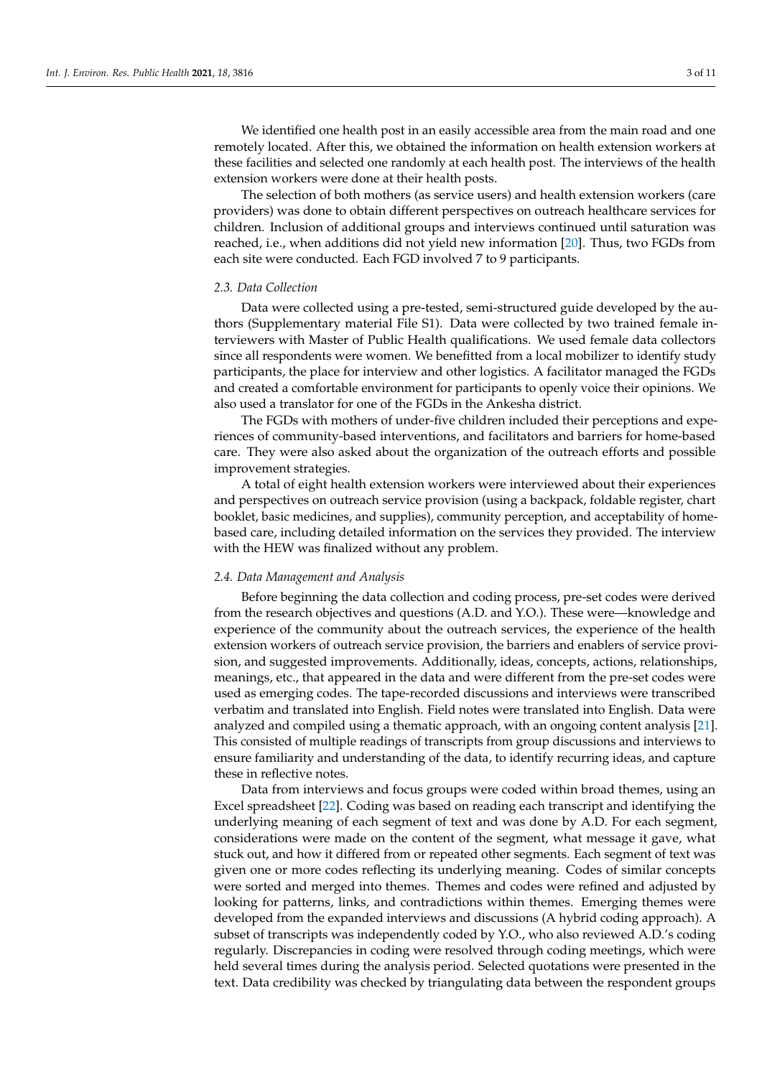We identified one health post in an easily accessible area from the main road and one remotely located. After this, we obtained the information on health extension workers at these facilities and selected one randomly at each health post. The interviews of the health extension workers were done at their health posts.

The selection of both mothers (as service users) and health extension workers (care providers) was done to obtain different perspectives on outreach healthcare services for children. Inclusion of additional groups and interviews continued until saturation was reached, i.e., when additions did not yield new information [\[20\]](#page-9-11). Thus, two FGDs from each site were conducted. Each FGD involved 7 to 9 participants.

## *2.3. Data Collection*

Data were collected using a pre-tested, semi-structured guide developed by the authors (Supplementary material File S1). Data were collected by two trained female interviewers with Master of Public Health qualifications. We used female data collectors since all respondents were women. We benefitted from a local mobilizer to identify study participants, the place for interview and other logistics. A facilitator managed the FGDs and created a comfortable environment for participants to openly voice their opinions. We also used a translator for one of the FGDs in the Ankesha district.

The FGDs with mothers of under-five children included their perceptions and experiences of community-based interventions, and facilitators and barriers for home-based care. They were also asked about the organization of the outreach efforts and possible improvement strategies.

A total of eight health extension workers were interviewed about their experiences and perspectives on outreach service provision (using a backpack, foldable register, chart booklet, basic medicines, and supplies), community perception, and acceptability of homebased care, including detailed information on the services they provided. The interview with the HEW was finalized without any problem.

## *2.4. Data Management and Analysis*

Before beginning the data collection and coding process, pre-set codes were derived from the research objectives and questions (A.D. and Y.O.). These were—knowledge and experience of the community about the outreach services, the experience of the health extension workers of outreach service provision, the barriers and enablers of service provision, and suggested improvements. Additionally, ideas, concepts, actions, relationships, meanings, etc., that appeared in the data and were different from the pre-set codes were used as emerging codes. The tape-recorded discussions and interviews were transcribed verbatim and translated into English. Field notes were translated into English. Data were analyzed and compiled using a thematic approach, with an ongoing content analysis [\[21\]](#page-9-12). This consisted of multiple readings of transcripts from group discussions and interviews to ensure familiarity and understanding of the data, to identify recurring ideas, and capture these in reflective notes.

Data from interviews and focus groups were coded within broad themes, using an Excel spreadsheet [\[22\]](#page-9-13). Coding was based on reading each transcript and identifying the underlying meaning of each segment of text and was done by A.D. For each segment, considerations were made on the content of the segment, what message it gave, what stuck out, and how it differed from or repeated other segments. Each segment of text was given one or more codes reflecting its underlying meaning. Codes of similar concepts were sorted and merged into themes. Themes and codes were refined and adjusted by looking for patterns, links, and contradictions within themes. Emerging themes were developed from the expanded interviews and discussions (A hybrid coding approach). A subset of transcripts was independently coded by Y.O., who also reviewed A.D.'s coding regularly. Discrepancies in coding were resolved through coding meetings, which were held several times during the analysis period. Selected quotations were presented in the text. Data credibility was checked by triangulating data between the respondent groups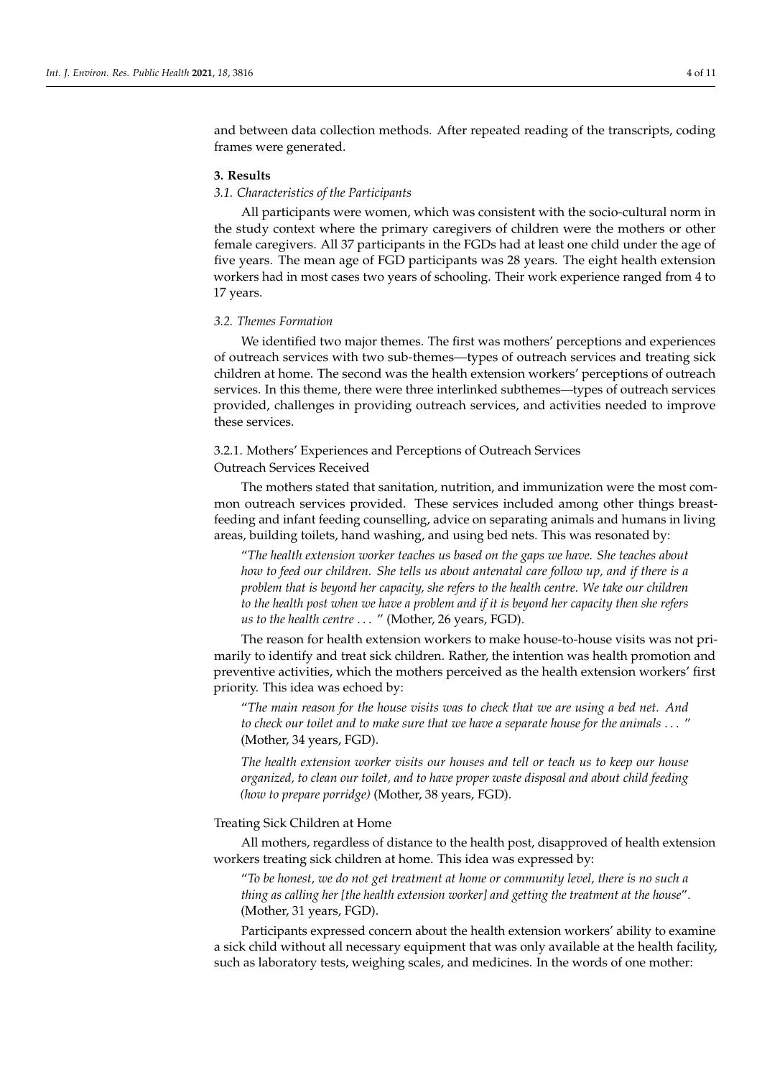and between data collection methods. After repeated reading of the transcripts, coding frames were generated.

## **3. Results**

## *3.1. Characteristics of the Participants*

All participants were women, which was consistent with the socio-cultural norm in the study context where the primary caregivers of children were the mothers or other female caregivers. All 37 participants in the FGDs had at least one child under the age of five years. The mean age of FGD participants was 28 years. The eight health extension workers had in most cases two years of schooling. Their work experience ranged from 4 to 17 years.

## *3.2. Themes Formation*

We identified two major themes. The first was mothers' perceptions and experiences of outreach services with two sub-themes—types of outreach services and treating sick children at home. The second was the health extension workers' perceptions of outreach services. In this theme, there were three interlinked subthemes—types of outreach services provided, challenges in providing outreach services, and activities needed to improve these services.

# 3.2.1. Mothers' Experiences and Perceptions of Outreach Services

# Outreach Services Received

The mothers stated that sanitation, nutrition, and immunization were the most common outreach services provided. These services included among other things breastfeeding and infant feeding counselling, advice on separating animals and humans in living areas, building toilets, hand washing, and using bed nets. This was resonated by:

"*The health extension worker teaches us based on the gaps we have. She teaches about how to feed our children. She tells us about antenatal care follow up, and if there is a problem that is beyond her capacity, she refers to the health centre. We take our children to the health post when we have a problem and if it is beyond her capacity then she refers us to the health centre* . . . " (Mother, 26 years, FGD).

The reason for health extension workers to make house-to-house visits was not primarily to identify and treat sick children. Rather, the intention was health promotion and preventive activities, which the mothers perceived as the health extension workers' first priority. This idea was echoed by:

"*The main reason for the house visits was to check that we are using a bed net. And to check our toilet and to make sure that we have a separate house for the animals* . . . " (Mother, 34 years, FGD).

*The health extension worker visits our houses and tell or teach us to keep our house organized, to clean our toilet, and to have proper waste disposal and about child feeding (how to prepare porridge)* (Mother, 38 years, FGD).

# Treating Sick Children at Home

All mothers, regardless of distance to the health post, disapproved of health extension workers treating sick children at home. This idea was expressed by:

"*To be honest, we do not get treatment at home or community level, there is no such a thing as calling her [the health extension worker] and getting the treatment at the house*". (Mother, 31 years, FGD).

Participants expressed concern about the health extension workers' ability to examine a sick child without all necessary equipment that was only available at the health facility, such as laboratory tests, weighing scales, and medicines. In the words of one mother: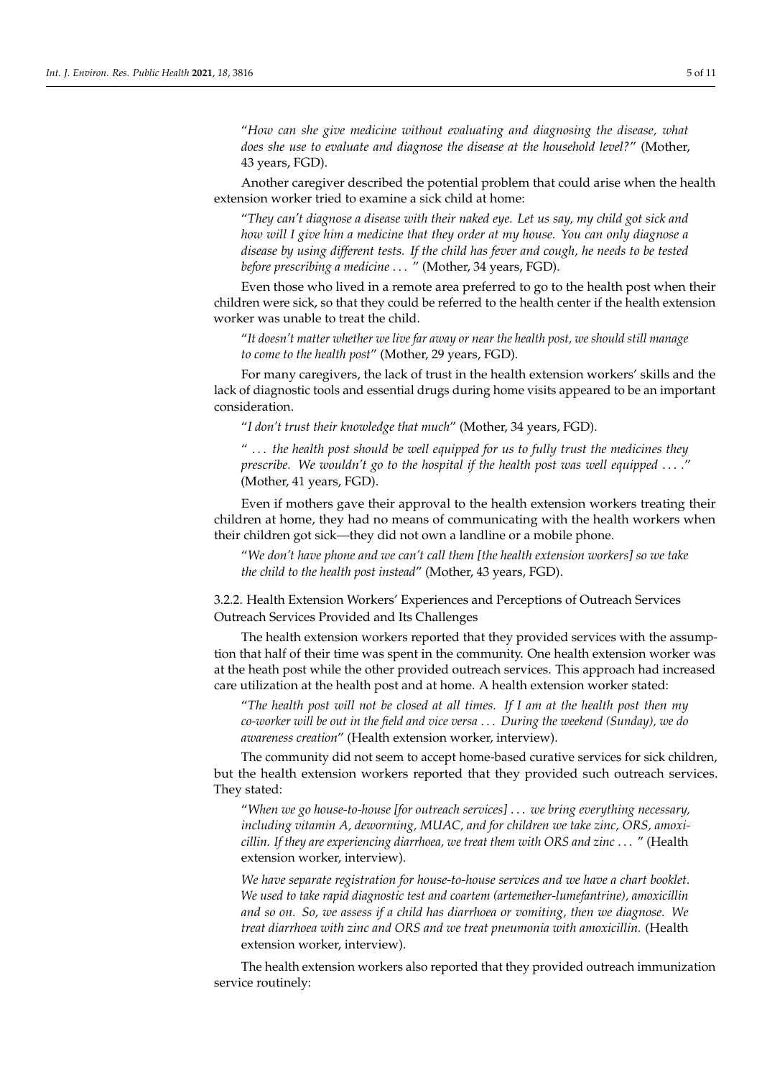"*How can she give medicine without evaluating and diagnosing the disease, what does she use to evaluate and diagnose the disease at the household level?*" (Mother, 43 years, FGD).

Another caregiver described the potential problem that could arise when the health extension worker tried to examine a sick child at home:

"*They can't diagnose a disease with their naked eye. Let us say, my child got sick and how will I give him a medicine that they order at my house. You can only diagnose a disease by using different tests. If the child has fever and cough, he needs to be tested before prescribing a medicine* . . . " (Mother, 34 years, FGD).

Even those who lived in a remote area preferred to go to the health post when their children were sick, so that they could be referred to the health center if the health extension worker was unable to treat the child.

"*It doesn't matter whether we live far away or near the health post, we should still manage to come to the health post*" (Mother, 29 years, FGD).

For many caregivers, the lack of trust in the health extension workers' skills and the lack of diagnostic tools and essential drugs during home visits appeared to be an important consideration.

"*I don't trust their knowledge that much*" (Mother, 34 years, FGD).

" . . . *the health post should be well equipped for us to fully trust the medicines they prescribe. We wouldn't go to the hospital if the health post was well equipped* . . . *.*" (Mother, 41 years, FGD).

Even if mothers gave their approval to the health extension workers treating their children at home, they had no means of communicating with the health workers when their children got sick—they did not own a landline or a mobile phone.

"*We don't have phone and we can't call them [the health extension workers] so we take the child to the health post instead*" (Mother, 43 years, FGD).

3.2.2. Health Extension Workers' Experiences and Perceptions of Outreach Services Outreach Services Provided and Its Challenges

The health extension workers reported that they provided services with the assumption that half of their time was spent in the community. One health extension worker was at the heath post while the other provided outreach services. This approach had increased care utilization at the health post and at home. A health extension worker stated:

"*The health post will not be closed at all times. If I am at the health post then my co-worker will be out in the field and vice versa* . . . *During the weekend (Sunday), we do awareness creation*" (Health extension worker, interview).

The community did not seem to accept home-based curative services for sick children, but the health extension workers reported that they provided such outreach services. They stated:

"*When we go house-to-house [for outreach services]* . . . *we bring everything necessary, including vitamin A, deworming, MUAC, and for children we take zinc, ORS, amoxicillin. If they are experiencing diarrhoea, we treat them with ORS and zinc* . . . " (Health extension worker, interview).

*We have separate registration for house-to-house services and we have a chart booklet. We used to take rapid diagnostic test and coartem (artemether-lumefantrine), amoxicillin and so on. So, we assess if a child has diarrhoea or vomiting, then we diagnose. We treat diarrhoea with zinc and ORS and we treat pneumonia with amoxicillin.* (Health extension worker, interview).

The health extension workers also reported that they provided outreach immunization service routinely: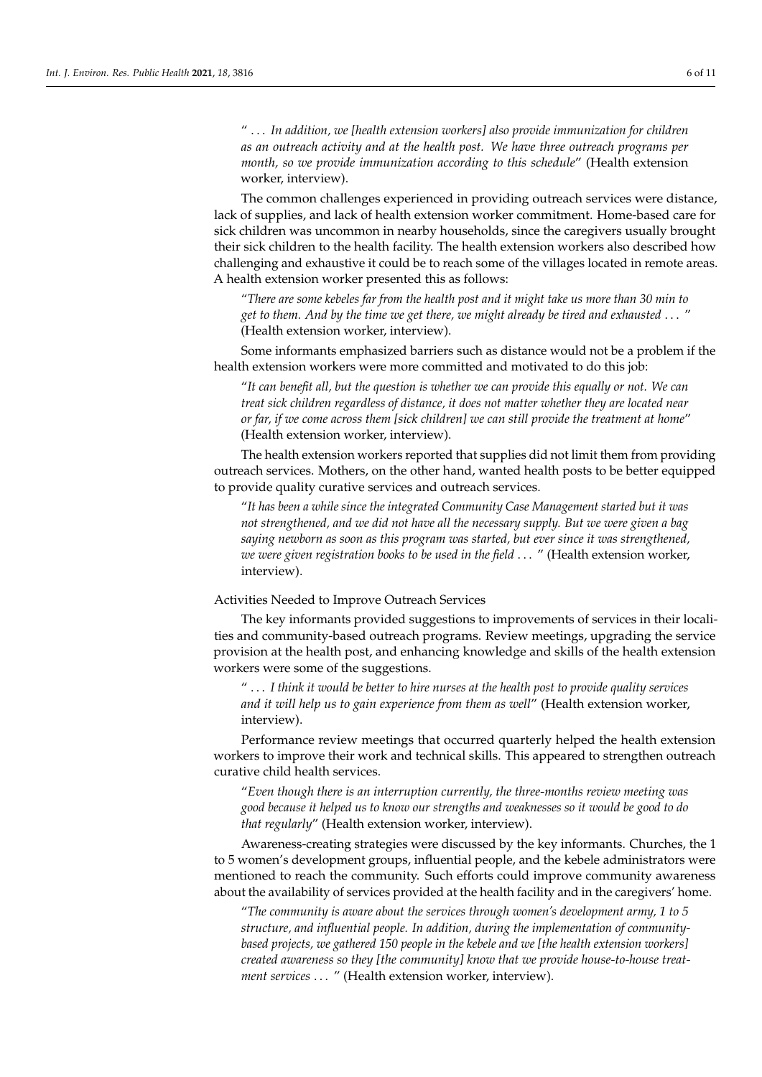" . . . *In addition, we [health extension workers] also provide immunization for children as an outreach activity and at the health post. We have three outreach programs per month, so we provide immunization according to this schedule*" (Health extension worker, interview).

The common challenges experienced in providing outreach services were distance, lack of supplies, and lack of health extension worker commitment. Home-based care for sick children was uncommon in nearby households, since the caregivers usually brought their sick children to the health facility. The health extension workers also described how challenging and exhaustive it could be to reach some of the villages located in remote areas. A health extension worker presented this as follows:

"*There are some kebeles far from the health post and it might take us more than 30 min to get to them. And by the time we get there, we might already be tired and exhausted* . . . " (Health extension worker, interview).

Some informants emphasized barriers such as distance would not be a problem if the health extension workers were more committed and motivated to do this job:

"*It can benefit all, but the question is whether we can provide this equally or not. We can treat sick children regardless of distance, it does not matter whether they are located near or far, if we come across them [sick children] we can still provide the treatment at home*" (Health extension worker, interview).

The health extension workers reported that supplies did not limit them from providing outreach services. Mothers, on the other hand, wanted health posts to be better equipped to provide quality curative services and outreach services.

"*It has been a while since the integrated Community Case Management started but it was not strengthened, and we did not have all the necessary supply. But we were given a bag saying newborn as soon as this program was started, but ever since it was strengthened, we were given registration books to be used in the field* . . . " (Health extension worker, interview).

# Activities Needed to Improve Outreach Services

The key informants provided suggestions to improvements of services in their localities and community-based outreach programs. Review meetings, upgrading the service provision at the health post, and enhancing knowledge and skills of the health extension workers were some of the suggestions.

" . . . *I think it would be better to hire nurses at the health post to provide quality services and it will help us to gain experience from them as well*" (Health extension worker, interview).

Performance review meetings that occurred quarterly helped the health extension workers to improve their work and technical skills. This appeared to strengthen outreach curative child health services.

"*Even though there is an interruption currently, the three-months review meeting was good because it helped us to know our strengths and weaknesses so it would be good to do that regularly*" (Health extension worker, interview).

Awareness-creating strategies were discussed by the key informants. Churches, the 1 to 5 women's development groups, influential people, and the kebele administrators were mentioned to reach the community. Such efforts could improve community awareness about the availability of services provided at the health facility and in the caregivers' home.

"*The community is aware about the services through women's development army, 1 to 5 structure, and influential people. In addition, during the implementation of communitybased projects, we gathered 150 people in the kebele and we [the health extension workers] created awareness so they [the community] know that we provide house-to-house treatment services* . . . " (Health extension worker, interview).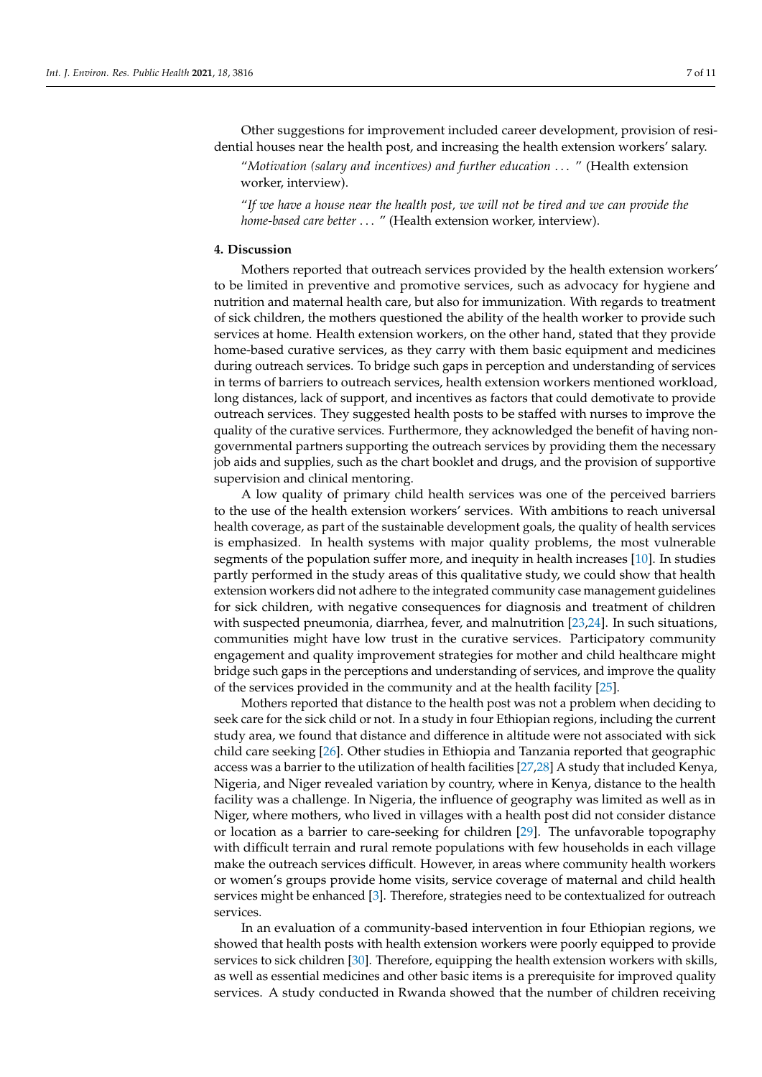Other suggestions for improvement included career development, provision of residential houses near the health post, and increasing the health extension workers' salary.

"*Motivation (salary and incentives) and further education* . . . " (Health extension worker, interview).

"*If we have a house near the health post, we will not be tired and we can provide the home-based care better* . . . " (Health extension worker, interview).

# **4. Discussion**

Mothers reported that outreach services provided by the health extension workers' to be limited in preventive and promotive services, such as advocacy for hygiene and nutrition and maternal health care, but also for immunization. With regards to treatment of sick children, the mothers questioned the ability of the health worker to provide such services at home. Health extension workers, on the other hand, stated that they provide home-based curative services, as they carry with them basic equipment and medicines during outreach services. To bridge such gaps in perception and understanding of services in terms of barriers to outreach services, health extension workers mentioned workload, long distances, lack of support, and incentives as factors that could demotivate to provide outreach services. They suggested health posts to be staffed with nurses to improve the quality of the curative services. Furthermore, they acknowledged the benefit of having nongovernmental partners supporting the outreach services by providing them the necessary job aids and supplies, such as the chart booklet and drugs, and the provision of supportive supervision and clinical mentoring.

A low quality of primary child health services was one of the perceived barriers to the use of the health extension workers' services. With ambitions to reach universal health coverage, as part of the sustainable development goals, the quality of health services is emphasized. In health systems with major quality problems, the most vulnerable segments of the population suffer more, and inequity in health increases [\[10\]](#page-9-1). In studies partly performed in the study areas of this qualitative study, we could show that health extension workers did not adhere to the integrated community case management guidelines for sick children, with negative consequences for diagnosis and treatment of children with suspected pneumonia, diarrhea, fever, and malnutrition [\[23,](#page-9-14)[24\]](#page-9-15). In such situations, communities might have low trust in the curative services. Participatory community engagement and quality improvement strategies for mother and child healthcare might bridge such gaps in the perceptions and understanding of services, and improve the quality of the services provided in the community and at the health facility [\[25\]](#page-9-16).

Mothers reported that distance to the health post was not a problem when deciding to seek care for the sick child or not. In a study in four Ethiopian regions, including the current study area, we found that distance and difference in altitude were not associated with sick child care seeking [\[26\]](#page-9-17). Other studies in Ethiopia and Tanzania reported that geographic access was a barrier to the utilization of health facilities [\[27](#page-9-18)[,28\]](#page-9-19) A study that included Kenya, Nigeria, and Niger revealed variation by country, where in Kenya, distance to the health facility was a challenge. In Nigeria, the influence of geography was limited as well as in Niger, where mothers, who lived in villages with a health post did not consider distance or location as a barrier to care-seeking for children [\[29\]](#page-9-20). The unfavorable topography with difficult terrain and rural remote populations with few households in each village make the outreach services difficult. However, in areas where community health workers or women's groups provide home visits, service coverage of maternal and child health services might be enhanced [\[3\]](#page-8-2). Therefore, strategies need to be contextualized for outreach services.

In an evaluation of a community-based intervention in four Ethiopian regions, we showed that health posts with health extension workers were poorly equipped to provide services to sick children [\[30\]](#page-9-21). Therefore, equipping the health extension workers with skills, as well as essential medicines and other basic items is a prerequisite for improved quality services. A study conducted in Rwanda showed that the number of children receiving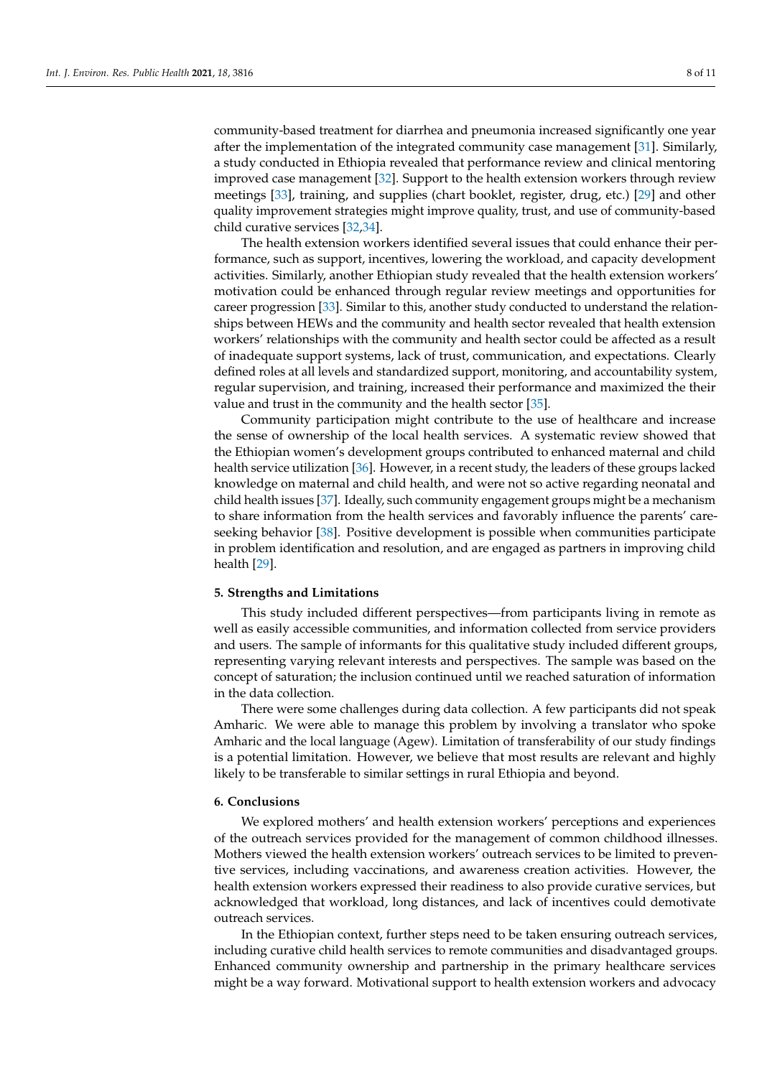community-based treatment for diarrhea and pneumonia increased significantly one year after the implementation of the integrated community case management [\[31\]](#page-9-22). Similarly, a study conducted in Ethiopia revealed that performance review and clinical mentoring improved case management [\[32\]](#page-9-23). Support to the health extension workers through review meetings [\[33\]](#page-9-24), training, and supplies (chart booklet, register, drug, etc.) [\[29\]](#page-9-20) and other quality improvement strategies might improve quality, trust, and use of community-based child curative services [\[32](#page-9-23)[,34\]](#page-10-0).

The health extension workers identified several issues that could enhance their performance, such as support, incentives, lowering the workload, and capacity development activities. Similarly, another Ethiopian study revealed that the health extension workers' motivation could be enhanced through regular review meetings and opportunities for career progression [\[33\]](#page-9-24). Similar to this, another study conducted to understand the relationships between HEWs and the community and health sector revealed that health extension workers' relationships with the community and health sector could be affected as a result of inadequate support systems, lack of trust, communication, and expectations. Clearly defined roles at all levels and standardized support, monitoring, and accountability system, regular supervision, and training, increased their performance and maximized the their value and trust in the community and the health sector [\[35\]](#page-10-1).

Community participation might contribute to the use of healthcare and increase the sense of ownership of the local health services. A systematic review showed that the Ethiopian women's development groups contributed to enhanced maternal and child health service utilization [\[36\]](#page-10-2). However, in a recent study, the leaders of these groups lacked knowledge on maternal and child health, and were not so active regarding neonatal and child health issues [\[37\]](#page-10-3). Ideally, such community engagement groups might be a mechanism to share information from the health services and favorably influence the parents' careseeking behavior [\[38\]](#page-10-4). Positive development is possible when communities participate in problem identification and resolution, and are engaged as partners in improving child health [\[29\]](#page-9-20).

## **5. Strengths and Limitations**

This study included different perspectives—from participants living in remote as well as easily accessible communities, and information collected from service providers and users. The sample of informants for this qualitative study included different groups, representing varying relevant interests and perspectives. The sample was based on the concept of saturation; the inclusion continued until we reached saturation of information in the data collection.

There were some challenges during data collection. A few participants did not speak Amharic. We were able to manage this problem by involving a translator who spoke Amharic and the local language (Agew). Limitation of transferability of our study findings is a potential limitation. However, we believe that most results are relevant and highly likely to be transferable to similar settings in rural Ethiopia and beyond.

## **6. Conclusions**

We explored mothers' and health extension workers' perceptions and experiences of the outreach services provided for the management of common childhood illnesses. Mothers viewed the health extension workers' outreach services to be limited to preventive services, including vaccinations, and awareness creation activities. However, the health extension workers expressed their readiness to also provide curative services, but acknowledged that workload, long distances, and lack of incentives could demotivate outreach services.

In the Ethiopian context, further steps need to be taken ensuring outreach services, including curative child health services to remote communities and disadvantaged groups. Enhanced community ownership and partnership in the primary healthcare services might be a way forward. Motivational support to health extension workers and advocacy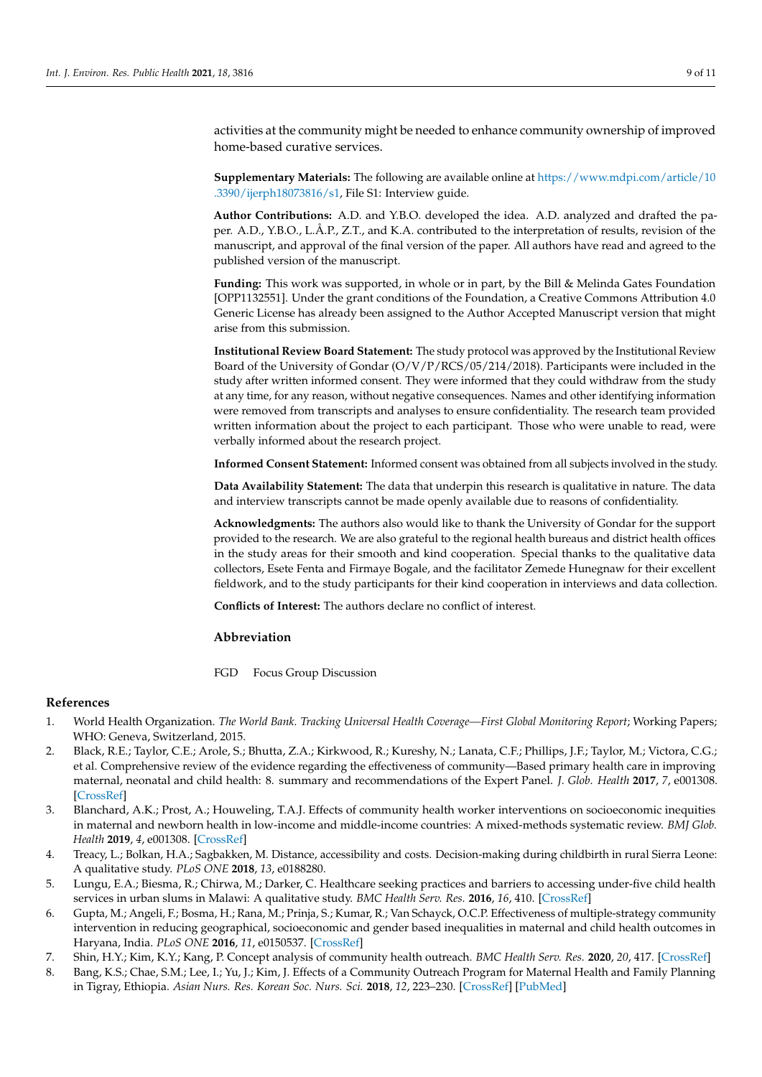activities at the community might be needed to enhance community ownership of improved home-based curative services.

**Supplementary Materials:** The following are available online at [https://www.mdpi.com/article/10](https://www.mdpi.com/article/10.3390/ijerph18073816/s1) [.3390/ijerph18073816/s1,](https://www.mdpi.com/article/10.3390/ijerph18073816/s1) File S1: Interview guide.

**Author Contributions:** A.D. and Y.B.O. developed the idea. A.D. analyzed and drafted the paper. A.D., Y.B.O., L.Å.P., Z.T., and K.A. contributed to the interpretation of results, revision of the manuscript, and approval of the final version of the paper. All authors have read and agreed to the published version of the manuscript.

**Funding:** This work was supported, in whole or in part, by the Bill & Melinda Gates Foundation [OPP1132551]. Under the grant conditions of the Foundation, a Creative Commons Attribution 4.0 Generic License has already been assigned to the Author Accepted Manuscript version that might arise from this submission.

**Institutional Review Board Statement:** The study protocol was approved by the Institutional Review Board of the University of Gondar (O/V/P/RCS/05/214/2018). Participants were included in the study after written informed consent. They were informed that they could withdraw from the study at any time, for any reason, without negative consequences. Names and other identifying information were removed from transcripts and analyses to ensure confidentiality. The research team provided written information about the project to each participant. Those who were unable to read, were verbally informed about the research project.

**Informed Consent Statement:** Informed consent was obtained from all subjects involved in the study.

**Data Availability Statement:** The data that underpin this research is qualitative in nature. The data and interview transcripts cannot be made openly available due to reasons of confidentiality.

**Acknowledgments:** The authors also would like to thank the University of Gondar for the support provided to the research. We are also grateful to the regional health bureaus and district health offices in the study areas for their smooth and kind cooperation. Special thanks to the qualitative data collectors, Esete Fenta and Firmaye Bogale, and the facilitator Zemede Hunegnaw for their excellent fieldwork, and to the study participants for their kind cooperation in interviews and data collection.

**Conflicts of Interest:** The authors declare no conflict of interest.

## **Abbreviation**

FGD Focus Group Discussion

#### **References**

- <span id="page-8-0"></span>1. World Health Organization. *The World Bank. Tracking Universal Health Coverage—First Global Monitoring Report*; Working Papers; WHO: Geneva, Switzerland, 2015.
- <span id="page-8-1"></span>2. Black, R.E.; Taylor, C.E.; Arole, S.; Bhutta, Z.A.; Kirkwood, R.; Kureshy, N.; Lanata, C.F.; Phillips, J.F.; Taylor, M.; Victora, C.G.; et al. Comprehensive review of the evidence regarding the effectiveness of community—Based primary health care in improving maternal, neonatal and child health: 8. summary and recommendations of the Expert Panel. *J. Glob. Health* **2017**, *7*, e001308. [\[CrossRef\]](http://doi.org/10.7189/jogh.07.010908)
- <span id="page-8-2"></span>3. Blanchard, A.K.; Prost, A.; Houweling, T.A.J. Effects of community health worker interventions on socioeconomic inequities in maternal and newborn health in low-income and middle-income countries: A mixed-methods systematic review. *BMJ Glob. Health* **2019**, *4*, e001308. [\[CrossRef\]](http://doi.org/10.1136/bmjgh-2018-001308)
- <span id="page-8-3"></span>4. Treacy, L.; Bolkan, H.A.; Sagbakken, M. Distance, accessibility and costs. Decision-making during childbirth in rural Sierra Leone: A qualitative study. *PLoS ONE* **2018**, *13*, e0188280.
- <span id="page-8-4"></span>5. Lungu, E.A.; Biesma, R.; Chirwa, M.; Darker, C. Healthcare seeking practices and barriers to accessing under-five child health services in urban slums in Malawi: A qualitative study. *BMC Health Serv. Res.* **2016**, *16*, 410. [\[CrossRef\]](http://doi.org/10.1186/s12913-016-1678-x)
- <span id="page-8-5"></span>6. Gupta, M.; Angeli, F.; Bosma, H.; Rana, M.; Prinja, S.; Kumar, R.; Van Schayck, O.C.P. Effectiveness of multiple-strategy community intervention in reducing geographical, socioeconomic and gender based inequalities in maternal and child health outcomes in Haryana, India. *PLoS ONE* **2016**, *11*, e0150537. [\[CrossRef\]](http://doi.org/10.1371/journal.pone.0150537)
- <span id="page-8-6"></span>7. Shin, H.Y.; Kim, K.Y.; Kang, P. Concept analysis of community health outreach. *BMC Health Serv. Res.* **2020**, *20*, 417. [\[CrossRef\]](http://doi.org/10.1186/s12913-020-05266-7)
- <span id="page-8-7"></span>8. Bang, K.S.; Chae, S.M.; Lee, I.; Yu, J.; Kim, J. Effects of a Community Outreach Program for Maternal Health and Family Planning in Tigray, Ethiopia. *Asian Nurs. Res. Korean Soc. Nurs. Sci.* **2018**, *12*, 223–230. [\[CrossRef\]](http://doi.org/10.1016/j.anr.2018.08.007) [\[PubMed\]](http://www.ncbi.nlm.nih.gov/pubmed/30193883)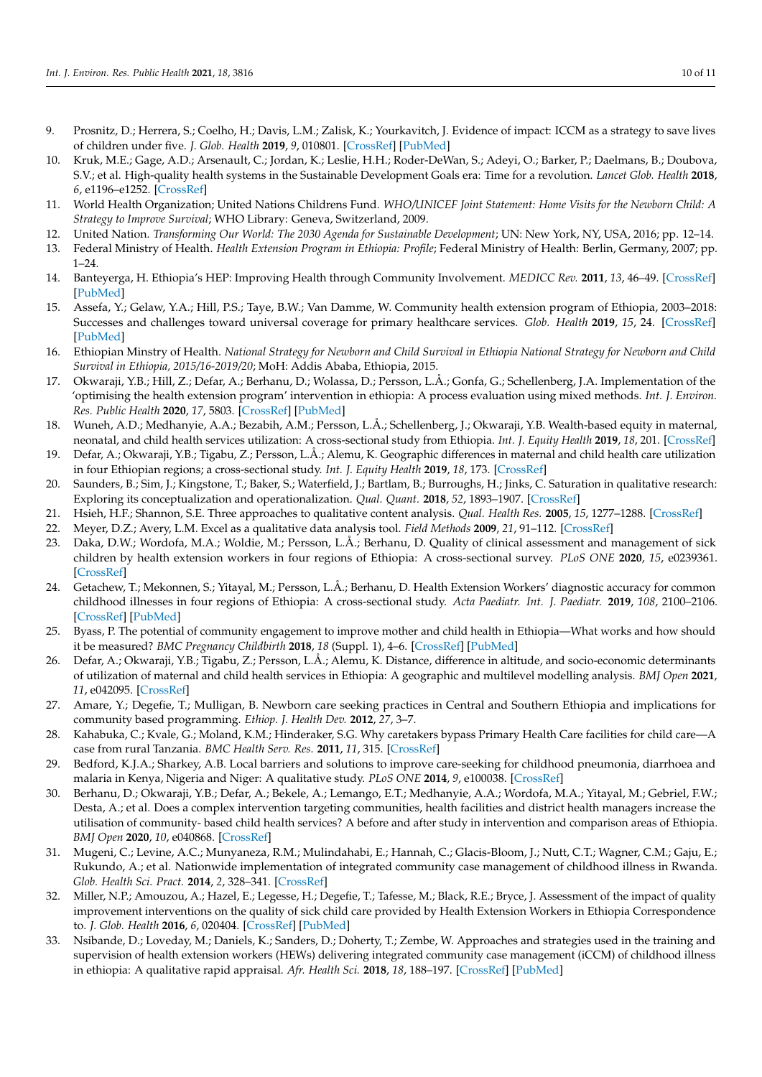- <span id="page-9-0"></span>9. Prosnitz, D.; Herrera, S.; Coelho, H.; Davis, L.M.; Zalisk, K.; Yourkavitch, J. Evidence of impact: ICCM as a strategy to save lives of children under five. *J. Glob. Health* **2019**, *9*, 010801. [\[CrossRef\]](http://doi.org/10.7189/jogh.09.010801) [\[PubMed\]](http://www.ncbi.nlm.nih.gov/pubmed/31263547)
- <span id="page-9-1"></span>10. Kruk, M.E.; Gage, A.D.; Arsenault, C.; Jordan, K.; Leslie, H.H.; Roder-DeWan, S.; Adeyi, O.; Barker, P.; Daelmans, B.; Doubova, S.V.; et al. High-quality health systems in the Sustainable Development Goals era: Time for a revolution. *Lancet Glob. Health* **2018**, *6*, e1196–e1252. [\[CrossRef\]](http://doi.org/10.1016/S2214-109X(18)30386-3)
- <span id="page-9-2"></span>11. World Health Organization; United Nations Childrens Fund. *WHO/UNICEF Joint Statement: Home Visits for the Newborn Child: A Strategy to Improve Survival*; WHO Library: Geneva, Switzerland, 2009.
- <span id="page-9-3"></span>12. United Nation. *Transforming Our World: The 2030 Agenda for Sustainable Development*; UN: New York, NY, USA, 2016; pp. 12–14.
- <span id="page-9-4"></span>13. Federal Ministry of Health. *Health Extension Program in Ethiopia: Profile*; Federal Ministry of Health: Berlin, Germany, 2007; pp.  $1 - 24$ .
- <span id="page-9-5"></span>14. Banteyerga, H. Ethiopia's HEP: Improving Health through Community Involvement. *MEDICC Rev.* **2011**, *13*, 46–49. [\[CrossRef\]](http://doi.org/10.37757/MR2011V13.N3.11) [\[PubMed\]](http://www.ncbi.nlm.nih.gov/pubmed/21778960)
- <span id="page-9-6"></span>15. Assefa, Y.; Gelaw, Y.A.; Hill, P.S.; Taye, B.W.; Van Damme, W. Community health extension program of Ethiopia, 2003–2018: Successes and challenges toward universal coverage for primary healthcare services. *Glob. Health* **2019**, *15*, 24. [\[CrossRef\]](http://doi.org/10.1186/s12992-019-0470-1) [\[PubMed\]](http://www.ncbi.nlm.nih.gov/pubmed/30914055)
- <span id="page-9-7"></span>16. Ethiopian Minstry of Health. *National Strategy for Newborn and Child Survival in Ethiopia National Strategy for Newborn and Child Survival in Ethiopia, 2015/16-2019/20*; MoH: Addis Ababa, Ethiopia, 2015.
- <span id="page-9-8"></span>17. Okwaraji, Y.B.; Hill, Z.; Defar, A.; Berhanu, D.; Wolassa, D.; Persson, L.Å.; Gonfa, G.; Schellenberg, J.A. Implementation of the 'optimising the health extension program' intervention in ethiopia: A process evaluation using mixed methods. *Int. J. Environ. Res. Public Health* **2020**, *17*, 5803. [\[CrossRef\]](http://doi.org/10.3390/ijerph17165803) [\[PubMed\]](http://www.ncbi.nlm.nih.gov/pubmed/32796574)
- <span id="page-9-9"></span>18. Wuneh, A.D.; Medhanyie, A.A.; Bezabih, A.M.; Persson, L.Å.; Schellenberg, J.; Okwaraji, Y.B. Wealth-based equity in maternal, neonatal, and child health services utilization: A cross-sectional study from Ethiopia. *Int. J. Equity Health* **2019**, *18*, 201. [\[CrossRef\]](http://doi.org/10.1186/s12939-019-1111-2)
- <span id="page-9-10"></span>19. Defar, A.; Okwaraji, Y.B.; Tigabu, Z.; Persson, L.Å.; Alemu, K. Geographic differences in maternal and child health care utilization in four Ethiopian regions; a cross-sectional study. *Int. J. Equity Health* **2019**, *18*, 173. [\[CrossRef\]](http://doi.org/10.1186/s12939-019-1079-y)
- <span id="page-9-11"></span>20. Saunders, B.; Sim, J.; Kingstone, T.; Baker, S.; Waterfield, J.; Bartlam, B.; Burroughs, H.; Jinks, C. Saturation in qualitative research: Exploring its conceptualization and operationalization. *Qual. Quant.* **2018**, *52*, 1893–1907. [\[CrossRef\]](http://doi.org/10.1007/s11135-017-0574-8)
- <span id="page-9-12"></span>21. Hsieh, H.F.; Shannon, S.E. Three approaches to qualitative content analysis. *Qual. Health Res.* **2005**, *15*, 1277–1288. [\[CrossRef\]](http://doi.org/10.1177/1049732305276687)
- <span id="page-9-13"></span>22. Meyer, D.Z.; Avery, L.M. Excel as a qualitative data analysis tool. *Field Methods* **2009**, *21*, 91–112. [\[CrossRef\]](http://doi.org/10.1177/1525822X08323985)
- <span id="page-9-14"></span>23. Daka, D.W.; Wordofa, M.A.; Woldie, M.; Persson, L.Å.; Berhanu, D. Quality of clinical assessment and management of sick children by health extension workers in four regions of Ethiopia: A cross-sectional survey. *PLoS ONE* **2020**, *15*, e0239361. [\[CrossRef\]](http://doi.org/10.1371/journal.pone.0239361)
- <span id="page-9-15"></span>24. Getachew, T.; Mekonnen, S.; Yitayal, M.; Persson, L.Å.; Berhanu, D. Health Extension Workers' diagnostic accuracy for common childhood illnesses in four regions of Ethiopia: A cross-sectional study. *Acta Paediatr. Int. J. Paediatr.* **2019**, *108*, 2100–2106. [\[CrossRef\]](http://doi.org/10.1111/apa.14888) [\[PubMed\]](http://www.ncbi.nlm.nih.gov/pubmed/31162734)
- <span id="page-9-16"></span>25. Byass, P. The potential of community engagement to improve mother and child health in Ethiopia—What works and how should it be measured? *BMC Pregnancy Childbirth* **2018**, *18* (Suppl. 1), 4–6. [\[CrossRef\]](http://doi.org/10.1186/s12884-018-1974-z) [\[PubMed\]](http://www.ncbi.nlm.nih.gov/pubmed/30255787)
- <span id="page-9-17"></span>26. Defar, A.; Okwaraji, Y.B.; Tigabu, Z.; Persson, L.Å.; Alemu, K. Distance, difference in altitude, and socio-economic determinants of utilization of maternal and child health services in Ethiopia: A geographic and multilevel modelling analysis. *BMJ Open* **2021**, *11*, e042095. [\[CrossRef\]](http://doi.org/10.1136/bmjopen-2020-042095)
- <span id="page-9-18"></span>27. Amare, Y.; Degefie, T.; Mulligan, B. Newborn care seeking practices in Central and Southern Ethiopia and implications for community based programming. *Ethiop. J. Health Dev.* **2012**, *27*, 3–7.
- <span id="page-9-19"></span>28. Kahabuka, C.; Kvale, G.; Moland, K.M.; Hinderaker, S.G. Why caretakers bypass Primary Health Care facilities for child care—A case from rural Tanzania. *BMC Health Serv. Res.* **2011**, *11*, 315. [\[CrossRef\]](http://doi.org/10.1186/1472-6963-11-315)
- <span id="page-9-20"></span>29. Bedford, K.J.A.; Sharkey, A.B. Local barriers and solutions to improve care-seeking for childhood pneumonia, diarrhoea and malaria in Kenya, Nigeria and Niger: A qualitative study. *PLoS ONE* **2014**, *9*, e100038. [\[CrossRef\]](http://doi.org/10.1371/journal.pone.0100038)
- <span id="page-9-21"></span>30. Berhanu, D.; Okwaraji, Y.B.; Defar, A.; Bekele, A.; Lemango, E.T.; Medhanyie, A.A.; Wordofa, M.A.; Yitayal, M.; Gebriel, F.W.; Desta, A.; et al. Does a complex intervention targeting communities, health facilities and district health managers increase the utilisation of community- based child health services? A before and after study in intervention and comparison areas of Ethiopia. *BMJ Open* **2020**, *10*, e040868. [\[CrossRef\]](http://doi.org/10.1136/bmjopen-2020-040868)
- <span id="page-9-22"></span>31. Mugeni, C.; Levine, A.C.; Munyaneza, R.M.; Mulindahabi, E.; Hannah, C.; Glacis-Bloom, J.; Nutt, C.T.; Wagner, C.M.; Gaju, E.; Rukundo, A.; et al. Nationwide implementation of integrated community case management of childhood illness in Rwanda. *Glob. Health Sci. Pract.* **2014**, *2*, 328–341. [\[CrossRef\]](http://doi.org/10.9745/GHSP-D-14-00080)
- <span id="page-9-23"></span>32. Miller, N.P.; Amouzou, A.; Hazel, E.; Legesse, H.; Degefie, T.; Tafesse, M.; Black, R.E.; Bryce, J. Assessment of the impact of quality improvement interventions on the quality of sick child care provided by Health Extension Workers in Ethiopia Correspondence to. *J. Glob. Health* **2016**, *6*, 020404. [\[CrossRef\]](http://doi.org/10.7189/jogh.06.020404) [\[PubMed\]](http://www.ncbi.nlm.nih.gov/pubmed/27606058)
- <span id="page-9-24"></span>33. Nsibande, D.; Loveday, M.; Daniels, K.; Sanders, D.; Doherty, T.; Zembe, W. Approaches and strategies used in the training and supervision of health extension workers (HEWs) delivering integrated community case management (iCCM) of childhood illness in ethiopia: A qualitative rapid appraisal. *Afr. Health Sci.* **2018**, *18*, 188–197. [\[CrossRef\]](http://doi.org/10.4314/ahs.v18i1.24) [\[PubMed\]](http://www.ncbi.nlm.nih.gov/pubmed/29977273)